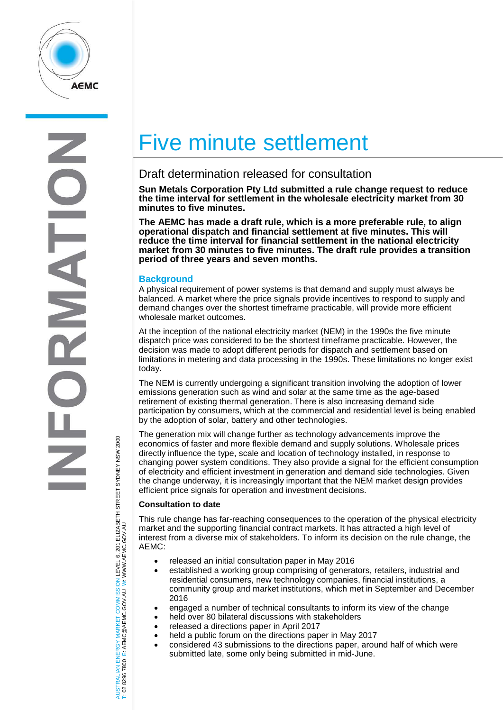

# Five minute settlement

# Draft determination released for consultation

**Sun Metals Corporation Pty Ltd submitted a rule change request to reduce the time interval for settlement in the wholesale electricity market from 30 minutes to five minutes.** 

**The AEMC has made a draft rule, which is a more preferable rule, to align operational dispatch and financial settlement at five minutes. This will reduce the time interval for financial settlement in the national electricity market from 30 minutes to five minutes. The draft rule provides a transition period of three years and seven months.**

## **Background**

A physical requirement of power systems is that demand and supply must always be balanced. A market where the price signals provide incentives to respond to supply and demand changes over the shortest timeframe practicable, will provide more efficient wholesale market outcomes.

At the inception of the national electricity market (NEM) in the 1990s the five minute dispatch price was considered to be the shortest timeframe practicable. However, the decision was made to adopt different periods for dispatch and settlement based on limitations in metering and data processing in the 1990s. These limitations no longer exist today.

The NEM is currently undergoing a significant transition involving the adoption of lower emissions generation such as wind and solar at the same time as the age-based retirement of existing thermal generation. There is also increasing demand side participation by consumers, which at the commercial and residential level is being enabled by the adoption of solar, battery and other technologies.

The generation mix will change further as technology advancements improve the economics of faster and more flexible demand and supply solutions. Wholesale prices directly influence the type, scale and location of technology installed, in response to changing power system conditions. They also provide a signal for the efficient consumption of electricity and efficient investment in generation and demand side technologies. Given the change underway, it is increasingly important that the NEM market design provides efficient price signals for operation and investment decisions.

### **Consultation to date**

This rule change has far-reaching consequences to the operation of the physical electricity market and the supporting financial contract markets. It has attracted a high level of interest from a diverse mix of stakeholders. To inform its decision on the rule change, the AEMC:

- released an initial consultation paper in May 2016
- established a working group comprising of generators, retailers, industrial and residential consumers, new technology companies, financial institutions, a community group and market institutions, which met in September and December 2016
- engaged a number of technical consultants to inform its view of the change
- held over 80 bilateral discussions with stakeholders
- released a directions paper in April 2017
- held a public forum on the directions paper in May 2017
- considered 43 submissions to the directions paper, around half of which were submitted late, some only being submitted in mid-June.

TRALIAN ENERGY MARKET COMMISSION LEVEL 6, 201 ELIZABETH STREET SYDNEY NSW 2000<br>8296 7800 E: AEMC@AEMC.GOV.AU W: WWW.AEMC.GOV.AU AUSTRALIAN ENERGY MARKET COMMISSION LEVEL 6, 201 ELIZABETH STREET SYDNEY NSW 2000 W: WWW.AEMC.GOV.AU T: 02 8296 7800 E: AEMC@AEMC.GOV.AU

**ISL** i si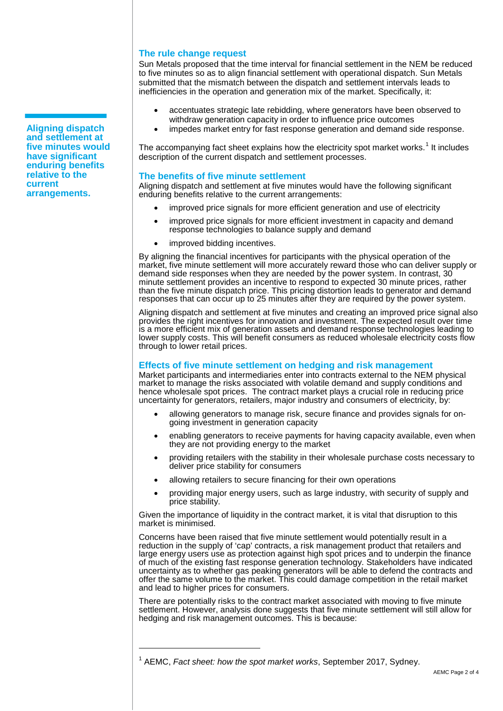#### **The rule change request**

Sun Metals proposed that the time interval for financial settlement in the NEM be reduced to five minutes so as to align financial settlement with operational dispatch. Sun Metals submitted that the mismatch between the dispatch and settlement intervals leads to inefficiencies in the operation and generation mix of the market. Specifically, it:

- accentuates strategic late rebidding, where generators have been observed to withdraw generation capacity in order to influence price outcomes
- impedes market entry for fast response generation and demand side response.

The accompanying fact sheet explains how the electricity spot market works.<sup>[1](#page-1-0)</sup> It includes description of the current dispatch and settlement processes.

#### **The benefits of five minute settlement**

Aligning dispatch and settlement at five minutes would have the following significant enduring benefits relative to the current arrangements:

- improved price signals for more efficient generation and use of electricity
- improved price signals for more efficient investment in capacity and demand response technologies to balance supply and demand
- improved bidding incentives.

By aligning the financial incentives for participants with the physical operation of the market, five minute settlement will more accurately reward those who can deliver supply or demand side responses when they are needed by the power system. In contrast, 30 minute settlement provides an incentive to respond to expected 30 minute prices, rather than the five minute dispatch price. This pricing distortion leads to generator and demand responses that can occur up to 25 minutes after they are required by the power system.

Aligning dispatch and settlement at five minutes and creating an improved price signal also provides the right incentives for innovation and investment. The expected result over time is a more efficient mix of generation assets and demand response technologies leading to lower supply costs. This will benefit consumers as reduced wholesale electricity costs flow through to lower retail prices.

### **Effects of five minute settlement on hedging and risk management**

Market participants and intermediaries enter into contracts external to the NEM physical market to manage the risks associated with volatile demand and supply conditions and hence wholesale spot prices. The contract market plays a crucial role in reducing price uncertainty for generators, retailers, major industry and consumers of electricity, by:

- allowing generators to manage risk, secure finance and provides signals for ongoing investment in generation capacity
- enabling generators to receive payments for having capacity available, even when they are not providing energy to the market
- providing retailers with the stability in their wholesale purchase costs necessary to deliver price stability for consumers
- allowing retailers to secure financing for their own operations
- providing major energy users, such as large industry, with security of supply and price stability.

Given the importance of liquidity in the contract market, it is vital that disruption to this market is minimised.

Concerns have been raised that five minute settlement would potentially result in a reduction in the supply of 'cap' contracts, a risk management product that retailers and large energy users use as protection against high spot prices and to underpin the finance of much of the existing fast response generation technology. Stakeholders have indicated uncertainty as to whether gas peaking generators will be able to defend the contracts and offer the same volume to the market. This could damage competition in the retail market and lead to higher prices for consumers.

There are potentially risks to the contract market associated with moving to five minute settlement. However, analysis done suggests that five minute settlement will still allow for hedging and risk management outcomes. This is because:

 $\overline{a}$ 

**Aligning dispatch and settlement at five minutes would have significant enduring benefits relative to the current arrangements.**

<span id="page-1-0"></span><sup>1</sup> AEMC, *Fact sheet: how the spot market works*, September 2017, Sydney.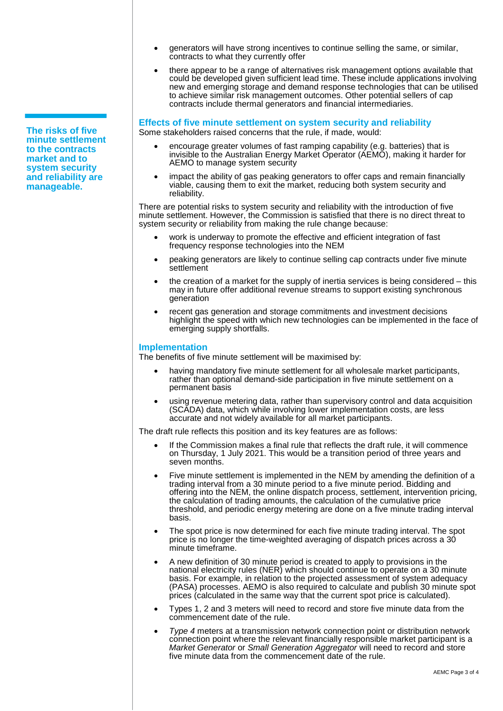**The risks of five minute settlement to the contracts market and to system security and reliability are manageable.**

- generators will have strong incentives to continue selling the same, or similar, contracts to what they currently offer
- there appear to be a range of alternatives risk management options available that could be developed given sufficient lead time. These include applications involving new and emerging storage and demand response technologies that can be utilised to achieve similar risk management outcomes. Other potential sellers of cap contracts include thermal generators and financial intermediaries.

# **Effects of five minute settlement on system security and reliability**

Some stakeholders raised concerns that the rule, if made, would:

- encourage greater volumes of fast ramping capability (e.g. batteries) that is invisible to the Australian Energy Market Operator (AEMO), making it harder for AEMO to manage system security
- impact the ability of gas peaking generators to offer caps and remain financially viable, causing them to exit the market, reducing both system security and reliability.

There are potential risks to system security and reliability with the introduction of five minute settlement. However, the Commission is satisfied that there is no direct threat to system security or reliability from making the rule change because:

- work is underway to promote the effective and efficient integration of fast frequency response technologies into the NEM
- peaking generators are likely to continue selling cap contracts under five minute **settlement**
- the creation of a market for the supply of inertia services is being considered  $-$  this may in future offer additional revenue streams to support existing synchronous generation
- recent gas generation and storage commitments and investment decisions highlight the speed with which new technologies can be implemented in the face of emerging supply shortfalls.

### **Implementation**

The benefits of five minute settlement will be maximised by:

- having mandatory five minute settlement for all wholesale market participants, rather than optional demand-side participation in five minute settlement on a permanent basis
- using revenue metering data, rather than supervisory control and data acquisition (SCADA) data, which while involving lower implementation costs, are less accurate and not widely available for all market participants.

The draft rule reflects this position and its key features are as follows:

- If the Commission makes a final rule that reflects the draft rule, it will commence on Thursday, 1 July 2021. This would be a transition period of three years and seven months.
- Five minute settlement is implemented in the NEM by amending the definition of a trading interval from a 30 minute period to a five minute period. Bidding and offering into the NEM, the online dispatch process, settlement, intervention pricing, the calculation of trading amounts, the calculation of the cumulative price threshold, and periodic energy metering are done on a five minute trading interval basis.
- The spot price is now determined for each five minute trading interval. The spot price is no longer the time-weighted averaging of dispatch prices across a 30 minute timeframe.
- A new definition of 30 minute period is created to apply to provisions in the national electricity rules (NER) which should continue to operate on a 30 minute basis. For example, in relation to the projected assessment of system adequacy (PASA) processes. AEMO is also required to calculate and publish 30 minute spot prices (calculated in the same way that the current spot price is calculated).
- Types 1, 2 and 3 meters will need to record and store five minute data from the commencement date of the rule.
- *Type 4* meters at a transmission network connection point or distribution network connection point where the relevant financially responsible market participant is a *Market Generator* or *Small Generation Aggregator* will need to record and store five minute data from the commencement date of the rule.